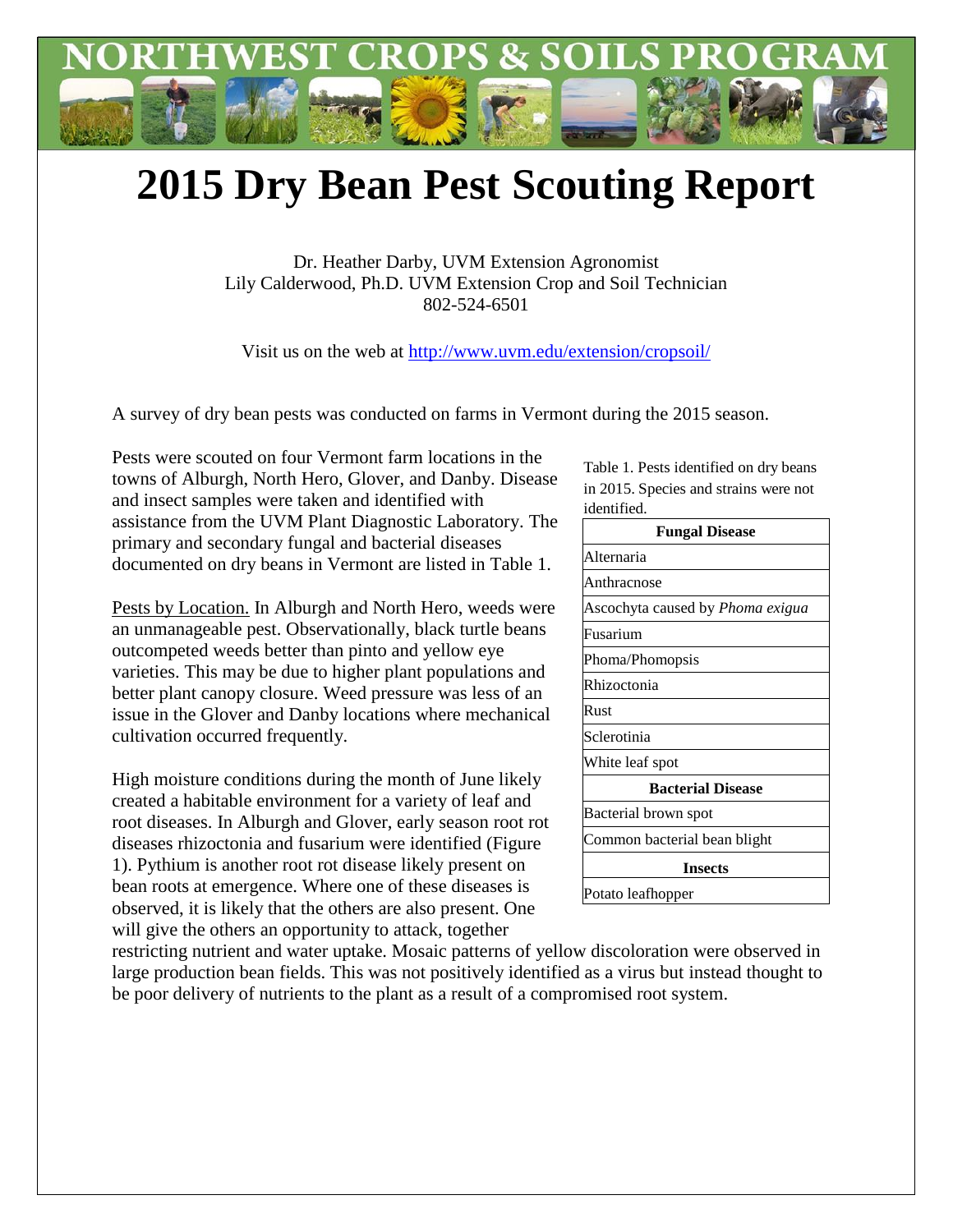

## **2015 Dry Bean Pest Scouting Report**

Dr. Heather Darby, UVM Extension Agronomist Lily Calderwood, Ph.D. UVM Extension Crop and Soil Technician 802-524-6501

Visit us on the web at<http://www.uvm.edu/extension/cropsoil/>

A survey of dry bean pests was conducted on farms in Vermont during the 2015 season.

Pests were scouted on four Vermont farm locations in the towns of Alburgh, North Hero, Glover, and Danby. Disease and insect samples were taken and identified with assistance from the UVM Plant Diagnostic Laboratory. The primary and secondary fungal and bacterial diseases documented on dry beans in Vermont are listed in Table 1.

Pests by Location. In Alburgh and North Hero, weeds were an unmanageable pest. Observationally, black turtle beans outcompeted weeds better than pinto and yellow eye varieties. This may be due to higher plant populations and better plant canopy closure. Weed pressure was less of an issue in the Glover and Danby locations where mechanical cultivation occurred frequently.

High moisture conditions during the month of June likely created a habitable environment for a variety of leaf and root diseases. In Alburgh and Glover, early season root rot diseases rhizoctonia and fusarium were identified (Figure 1). Pythium is another root rot disease likely present on bean roots at emergence. Where one of these diseases is observed, it is likely that the others are also present. One will give the others an opportunity to attack, together

Table 1. Pests identified on dry beans in 2015. Species and strains were not identified.

| <b>Fungal Disease</b>                   |
|-----------------------------------------|
| Alternaria                              |
| Anthracnose                             |
| Ascochyta caused by <i>Phoma exigua</i> |
| Fusarium                                |
| Phoma/Phomopsis                         |
| Rhizoctonia                             |
| Rust                                    |
| Sclerotinia                             |
| White leaf spot                         |
| <b>Bacterial Disease</b>                |
| Bacterial brown spot                    |
| Common bacterial bean blight            |
| <b>Insects</b>                          |
| Potato leafhopper                       |

restricting nutrient and water uptake. Mosaic patterns of yellow discoloration were observed in large production bean fields. This was not positively identified as a virus but instead thought to be poor delivery of nutrients to the plant as a result of a compromised root system.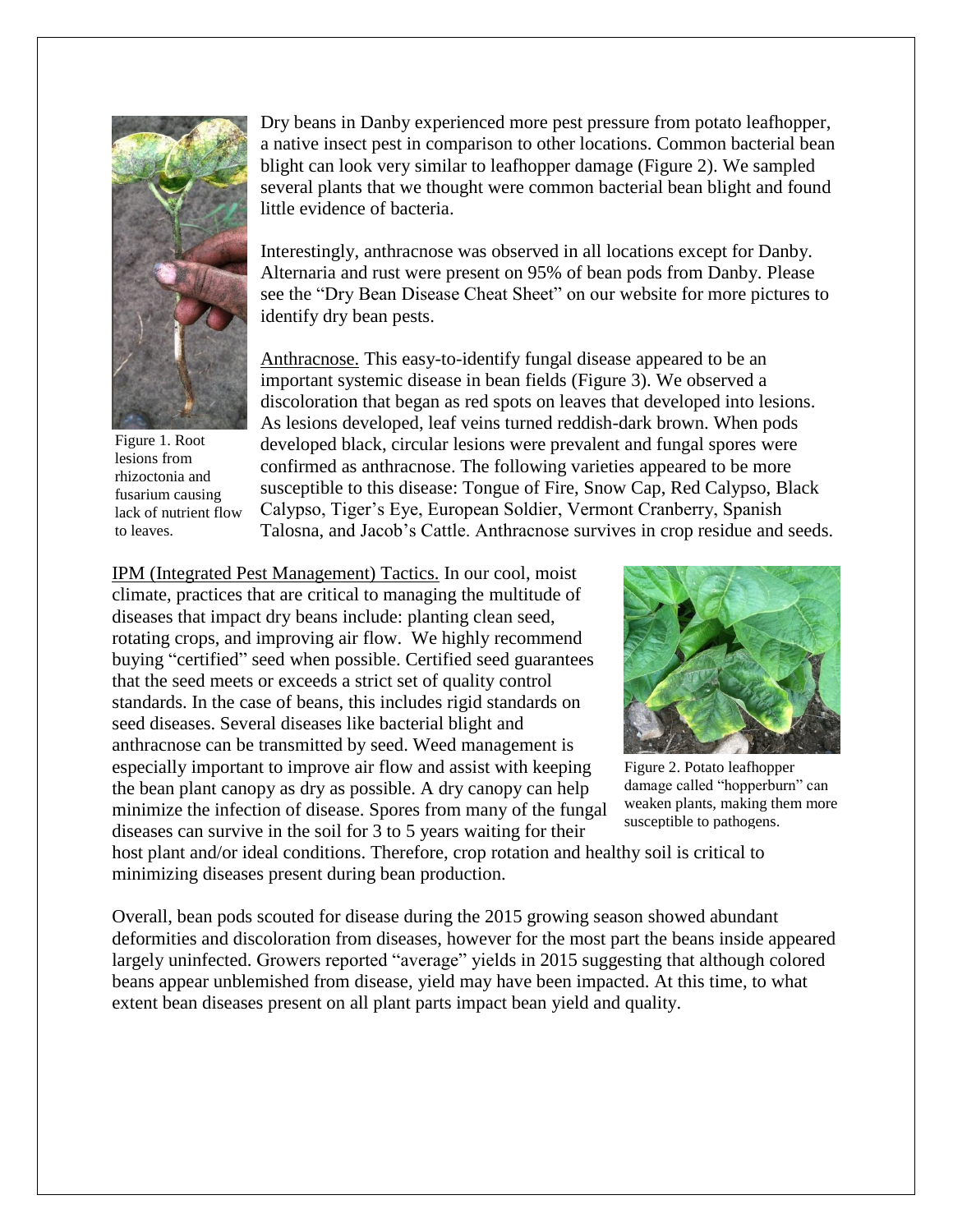

Figure 1. Root lesions from rhizoctonia and fusarium causing lack of nutrient flow to leaves.

Dry beans in Danby experienced more pest pressure from potato leafhopper, a native insect pest in comparison to other locations. Common bacterial bean blight can look very similar to leafhopper damage (Figure 2). We sampled several plants that we thought were common bacterial bean blight and found little evidence of bacteria.

Interestingly, anthracnose was observed in all locations except for Danby. Alternaria and rust were present on 95% of bean pods from Danby. Please see the "Dry Bean Disease Cheat Sheet" on our [website](http://www.uvm.edu/extension/cropsoil/) for more pictures to identify dry bean pests.

Anthracnose. This easy-to-identify fungal disease appeared to be an important systemic disease in bean fields (Figure 3). We observed a discoloration that began as red spots on leaves that developed into lesions. As lesions developed, leaf veins turned reddish-dark brown. When pods developed black, circular lesions were prevalent and fungal spores were confirmed as anthracnose. The following varieties appeared to be more susceptible to this disease: Tongue of Fire, Snow Cap, Red Calypso, Black Calypso, Tiger's Eye, European Soldier, Vermont Cranberry, Spanish Talosna, and Jacob's Cattle. Anthracnose survives in crop residue and seeds.

IPM (Integrated Pest Management) Tactics. In our cool, moist climate, practices that are critical to managing the multitude of diseases that impact dry beans include: planting clean seed, rotating crops, and improving air flow. We highly recommend buying "certified" seed when possible. Certified seed guarantees that the seed meets or exceeds a strict set of quality control standards. In the case of beans, this includes rigid standards on seed diseases. Several diseases like bacterial blight and anthracnose can be transmitted by seed. Weed management is especially important to improve air flow and assist with keeping the bean plant canopy as dry as possible. A dry canopy can help minimize the infection of disease. Spores from many of the fungal diseases can survive in the soil for 3 to 5 years waiting for their



Figure 2. Potato leafhopper damage called "hopperburn" can weaken plants, making them more susceptible to pathogens.

host plant and/or ideal conditions. Therefore, crop rotation and healthy soil is critical to minimizing diseases present during bean production.

Overall, bean pods scouted for disease during the 2015 growing season showed abundant deformities and discoloration from diseases, however for the most part the beans inside appeared largely uninfected. Growers reported "average" yields in 2015 suggesting that although colored beans appear unblemished from disease, yield may have been impacted. At this time, to what extent bean diseases present on all plant parts impact bean yield and quality.